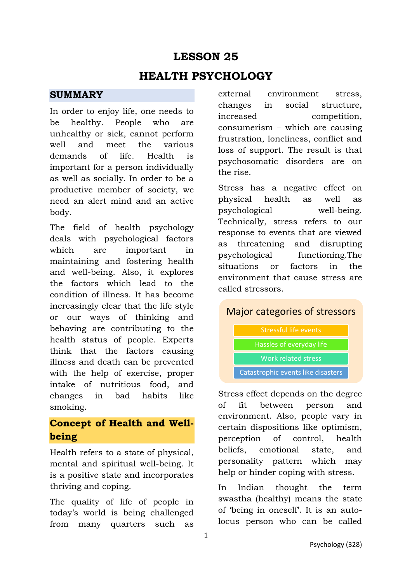# **LESSON 25**

## **HEALTH PSYCHOLOGY**

### **SUMMARY**

In order to enjoy life, one needs to be healthy. People who are unhealthy or sick, cannot perform well and meet the various demands of life. Health is important for a person individually as well as socially. In order to be a productive member of society, we need an alert mind and an active body.

The field of health psychology deals with psychological factors which are important in maintaining and fostering health and well-being. Also, it explores the factors which lead to the condition of illness. It has become increasingly clear that the life style or our ways of thinking and behaving are contributing to the health status of people. Experts think that the factors causing illness and death can be prevented with the help of exercise, proper intake of nutritious food, and changes in bad habits like smoking.

### **Concept of Health and Wellbeing**

Health refers to a state of physical, mental and spiritual well-being. It is a positive state and incorporates thriving and coping.

The quality of life of people in today's world is being challenged from many quarters such as external environment stress, changes in social structure, increased competition, consumerism – which are causing frustration, loneliness, conflict and loss of support. The result is that psychosomatic disorders are on the rise.

Stress has a negative effect on physical health as well as psychological well-being. Technically, stress refers to our response to events that are viewed as threatening and disrupting psychological functioning.The situations or factors in the environment that cause stress are called stressors.

### Major categories of stressors

Stressful life events Hassles of everyday life

Work related stress

Catastrophic events like disasters

Stress effect depends on the degree of fit between person and environment. Also, people vary in certain dispositions like optimism, perception of control, health beliefs, emotional state, and personality pattern which may help or hinder coping with stress.

In Indian thought the term swastha (healthy) means the state of 'being in oneself'. It is an autolocus person who can be called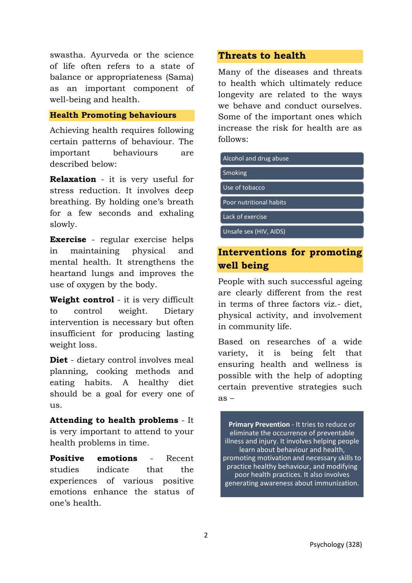swastha. Ayurveda or the science of life often refers to a state of balance or appropriateness (Sama) as an important component of well-being and health.

#### **Health Promoting behaviours**

Achieving health requires following certain patterns of behaviour. The important behaviours are described below:

**Relaxation** - it is very useful for stress reduction. It involves deep breathing. By holding one's breath for a few seconds and exhaling slowly.

**Exercise** - regular exercise helps in maintaining physical and mental health. It strengthens the heartand lungs and improves the use of oxygen by the body.

**Weight control** - it is very difficult to control weight. Dietary intervention is necessary but often insufficient for producing lasting weight loss.

**Diet** - dietary control involves meal planning, cooking methods and eating habits. A healthy diet should be a goal for every one of us.

**Attending to health problems** - It is very important to attend to your health problems in time.

**Positive emotions** - Recent studies indicate that the experiences of various positive emotions enhance the status of one's health.

#### **Threats to health**

Many of the diseases and threats to health which ultimately reduce longevity are related to the ways we behave and conduct ourselves. Some of the important ones which increase the risk for health are as follows:

Alcohol and drug abuse

Smoking

Use of tobacco

Poor nutritional habits

Lack of exercise

Unsafe sex (HIV, AIDS)

### **Interventions for promoting well being**

People with such successful ageing are clearly different from the rest in terms of three factors viz.- diet, physical activity, and involvement in community life.

Based on researches of a wide variety, it is being felt that ensuring health and wellness is possible with the help of adopting certain preventive strategies such as –

**Primary Prevention** - It tries to reduce or eliminate the occurrence of preventable illness and injury. It involves helping people learn about behaviour and health, promoting motivation and necessary skills to practice healthy behaviour, and modifying poor health practices. It also involves generating awareness about immunization.